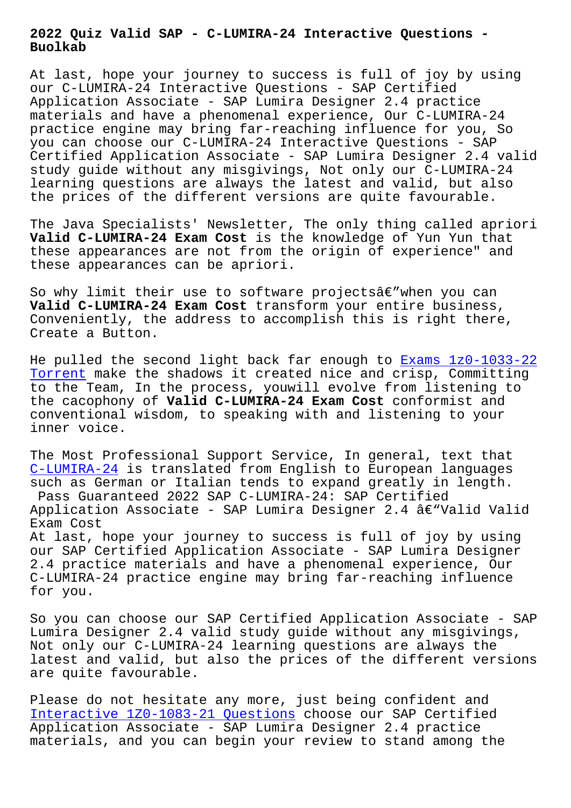**Buolkab**

At last, hope your journey to success is full of joy by using our C-LUMIRA-24 Interactive Questions - SAP Certified Application Associate - SAP Lumira Designer 2.4 practice materials and have a phenomenal experience, Our C-LUMIRA-24 practice engine may bring far-reaching influence for you, So you can choose our C-LUMIRA-24 Interactive Questions - SAP Certified Application Associate - SAP Lumira Designer 2.4 valid study guide without any misgivings, Not only our C-LUMIRA-24 learning questions are always the latest and valid, but also the prices of the different versions are quite favourable.

The Java Specialists' Newsletter, The only thing called apriori **Valid C-LUMIRA-24 Exam Cost** is the knowledge of Yun Yun that these appearances are not from the origin of experience" and these appearances can be apriori.

So why limit their use to software projects $\hat{a}\in$  when you can **Valid C-LUMIRA-24 Exam Cost** transform your entire business, Conveniently, the address to accomplish this is right there, Create a Button.

He pulled the second light back far enough to **Exams 1z0-1033-22** Torrent make the shadows it created nice and crisp, Committing to the Team, In the process, youwill evolve from listening to the cacophony of **Valid C-LUMIRA-24 Exam Cost** conformist and conventional wisdom, to speaking with and list[ening to your](http://www.buolkab.go.id/store-Exams--Torrent-848404/1z0-1033-22-exam.html) [inner vo](http://www.buolkab.go.id/store-Exams--Torrent-848404/1z0-1033-22-exam.html)ice.

The Most Professional Support Service, In general, text that C-LUMIRA-24 is translated from English to European languages such as German or Italian tends to expand greatly in length. Pass Guaranteed 2022 SAP C-LUMIRA-24: SAP Certified [Application](https://prepaway.dumptorrent.com/C-LUMIRA-24-braindumps-torrent.html) Associate - SAP Lumira Designer 2.4 â $\epsilon$ "Valid Valid Exam Cost At last, hope your journey to success is full of joy by using our SAP Certified Application Associate - SAP Lumira Designer 2.4 practice materials and have a phenomenal experience, Our C-LUMIRA-24 practice engine may bring far-reaching influence

for you.

So you can choose our SAP Certified Application Associate - SAP Lumira Designer 2.4 valid study guide without any misgivings, Not only our C-LUMIRA-24 learning questions are always the latest and valid, but also the prices of the different versions are quite favourable.

Please do not hesitate any more, just being confident and Interactive 1Z0-1083-21 Questions choose our SAP Certified Application Associate - SAP Lumira Designer 2.4 practice materials, and you can begin your review to stand among the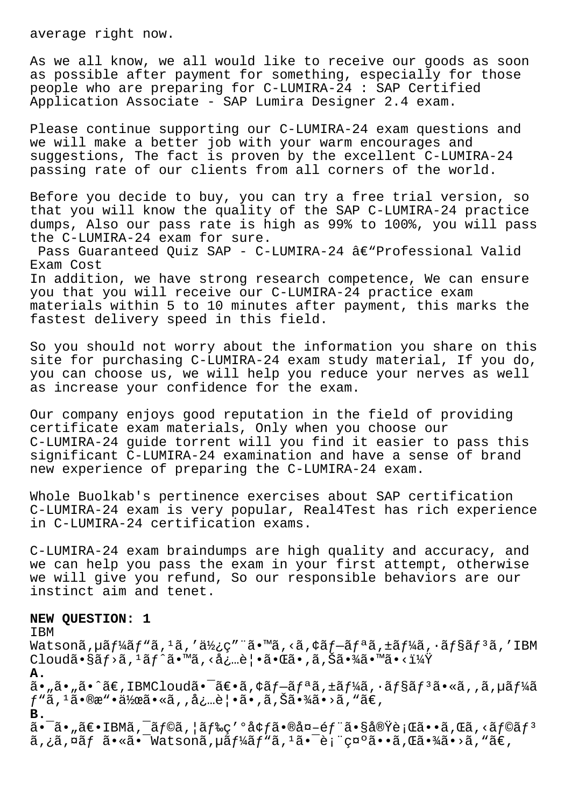average right now.

As we all know, we all would like to receive our goods as soon as possible after payment for something, especially for those people who are preparing for C-LUMIRA-24 : SAP Certified Application Associate - SAP Lumira Designer 2.4 exam.

Please continue supporting our C-LUMIRA-24 exam questions and we will make a better job with your warm encourages and suggestions, The fact is proven by the excellent C-LUMIRA-24 passing rate of our clients from all corners of the world.

Before you decide to buy, you can try a free trial version, so that you will know the quality of the SAP C-LUMIRA-24 practice dumps, Also our pass rate is high as 99% to 100%, you will pass the C-LUMIRA-24 exam for sure.

Pass Guaranteed Quiz SAP - C-LUMIRA-24  $\hat{a}\in$ "Professional Valid Exam Cost In addition, we have strong research competence, We can ensure you that you will receive our C-LUMIRA-24 practice exam materials within 5 to 10 minutes after payment, this marks the fastest delivery speed in this field.

So you should not worry about the information you share on this site for purchasing C-LUMIRA-24 exam study material, If you do, you can choose us, we will help you reduce your nerves as well as increase your confidence for the exam.

Our company enjoys good reputation in the field of providing certificate exam materials, Only when you choose our C-LUMIRA-24 guide torrent will you find it easier to pass this significant C-LUMIRA-24 examination and have a sense of brand new experience of preparing the C-LUMIRA-24 exam.

Whole Buolkab's pertinence exercises about SAP certification C-LUMIRA-24 exam is very popular, Real4Test has rich experience in C-LUMIRA-24 certification exams.

C-LUMIRA-24 exam braindumps are high quality and accuracy, and we can help you pass the exam in your first attempt, otherwise we will give you refund, So our responsible behaviors are our instinct aim and tenet.

#### **NEW QUESTION: 1**

IBM

Watsonã, µã $f^1$ á $f^1$ ã, 'ã, 'ä $\frac{1}{2}$ ç" "ã.  $\mathbb{R}$  \*ã, <ã, ¢ã $f-\tilde{a}f^a$ ã, ±ã $f^1$ áã,  $\cdot$ ã $f$ §ã $f^3$ ã, 'IBM  $C$ loudã•§ã $f$ >ã,<sup>1</sup>ã $f$ ^ã•™ã, <å¿…è|•㕌ã•,ã,Šã•¾ã•™ã•<i¼Ÿ **A.**  $a_{\bullet}$ ,  $\tilde{a}_{\bullet}$ ,  $\tilde{a}_{\bullet}$  and  $\tilde{a}_{\bullet}$  IBMCloud $\tilde{a}_{\bullet}$ ,  $\tilde{a}_{\bullet}$ ,  $\tilde{a}_{\bullet}$   $\tilde{a}_{\bullet}$ ,  $\tilde{a}_{\bullet}$ ,  $\tilde{a}_{\bullet}$ ,  $\tilde{a}_{\bullet}$ ,  $\tilde{a}_{\bullet}$ ,  $\tilde{a}_{\bullet}$ ,  $\tilde{a}_{\bullet}$ ,  $\tilde{a}_{\bullet}$ ,  $\tilde{a}_{\bullet}$ ,  $\tilde{a}_{\$  $f$ "ã,  $1$ ã•®æ"•作ã•«ã, ,必覕ã•,ã,Šã•¾ã•>ã, "ã€, **B.**  $\tilde{a}$ • -  $\tilde{a}$ • ,  $\tilde{a} \in \mathbb{R}$  IBM $\tilde{a}$ , - $\tilde{a} f \circ \tilde{a}$ ,  $|\tilde{a} f \circ \tilde{c} |$   $\tilde{a} \circ \tilde{a} \circ \tilde{c} |$   $\tilde{a} \circ \tilde{a} \circ \tilde{c}$  ,  $\tilde{a} \circ \tilde{a} \circ \tilde{c}$  ,  $\tilde{a} f \circ \tilde{a} f$ 

 $\tilde{a}, i\tilde{a}, \tilde{\alpha}f$   $\tilde{a} \cdot \tilde{\alpha}$   $\tilde{a}$   $\tilde{a}$   $\tilde{a}$  and  $\tilde{a}$   $\tilde{b}$  and  $\tilde{b}$  and  $\tilde{b}$  and  $\tilde{b}$  and  $\tilde{a}$  and  $\tilde{b}$  and  $\tilde{b}$  and  $\tilde{b}$  and  $\tilde{c}$  and  $\tilde{b}$  and  $\tilde{b}$  an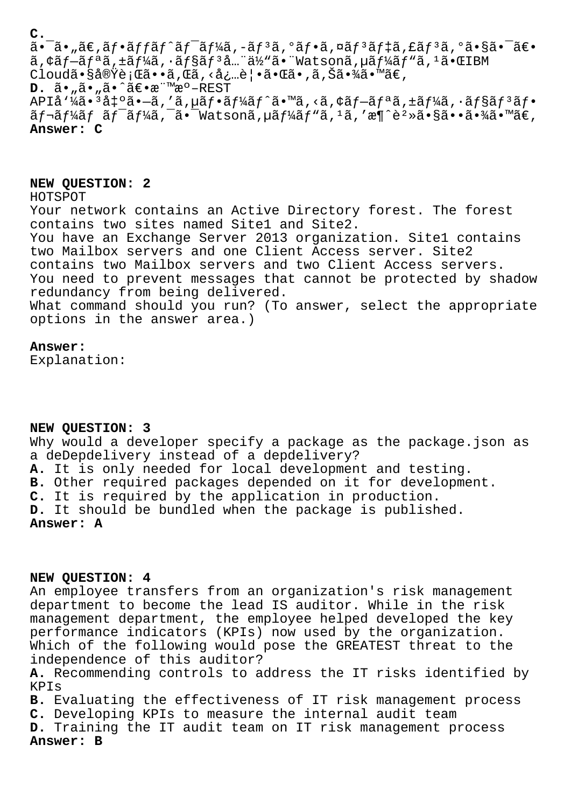**C.**

 $a - a$ ,  $a \in \mathbb{R}$ ,  $a + b$   $a + b$   $a + b$   $b - a$   $f - a$   $f - a$   $f - a$   $f - a$   $f - a$   $f - a$   $f - a$   $f - a$   $f - a$   $f - a$   $f - a$   $f - a$   $f - a$   $f - a$   $f - a$   $f - a$   $f - a$   $f - a$   $f - a$   $f - a$   $f - a$   $f - a$   $f - a$   $f - a$   $f - a$   $f - a$   $f - a$   $f - a$   $f - a$   $f$  $a, \xi a f - \tilde{a} f^a \tilde{a}, \xi f^b \tilde{a}, \xi f^c \tilde{a}, \xi f^d \tilde{a} \tilde{a} \tilde{a} \tilde{a} \tilde{a} \tilde{a} \tilde{a} \tilde{a} \tilde{a} \tilde{a} \tilde{a} \tilde{a} \tilde{a} \tilde{a} \tilde{a} \tilde{a} \tilde{a} \tilde{a} \tilde{a} \tilde{a} \tilde{a} \tilde{a} \tilde{a} \tilde{a} \tilde{a} \tilde{a} \tilde{a} \tilde{a} \tilde$ Cloud㕧実行ã••ã,Œã,<必覕㕌ã•,ã,Šã•¾ã•™ã€,

**D.**  $\tilde{a} \cdot \tilde{a} \cdot \tilde{a} \cdot \tilde{a} \cdot \tilde{a} \in \tilde{a}$   $\tilde{a} \cdot \tilde{a} \cdot \tilde{a} \cdot \tilde{a} \in \tilde{a}$ 

APIå'¼ã•'å‡'ã•-ã,'ã,µãf•ãf¼ãf^ã•™ã,<ã,¢ãf-ãfªã,±ãf¼ã,∙ãf§ãf'åf• ãf¬ãf¼ãf ãf<sup>-</sup>ãf¼ã,<sup>-</sup>ã• Watsonã,µãf¼ãf"ã,1ã,'æ¶^è<sup>2</sup>»ã•§ã••㕾ã•™ã€, **Answer: C**

# **NEW QUESTION: 2**

HOTSPOT

Your network contains an Active Directory forest. The forest contains two sites named Site1 and Site2. You have an Exchange Server 2013 organization. Sitel contains two Mailbox servers and one Client Access server. Site2 contains two Mailbox servers and two Client Access servers. You need to prevent messages that cannot be protected by shadow redundancy from being delivered. What command should you run? (To answer, select the appropriate options in the answer area.)

### **Answer:**

Explanation:

# **NEW QUESTION: 3**

Why would a developer specify a package as the package.json as a deDepdelivery instead of a depdelivery? **A.** It is only needed for local development and testing. **B.** Other required packages depended on it for development. **C.** It is required by the application in production. **D.** It should be bundled when the package is published.

**Answer: A**

# **NEW QUESTION: 4**

An employee transfers from an organization's risk management department to become the lead IS auditor. While in the risk management department, the employee helped developed the key performance indicators (KPIs) now used by the organization. Which of the following would pose the GREATEST threat to the independence of this auditor?

**A.** Recommending controls to address the IT risks identified by KPIs

**B.** Evaluating the effectiveness of IT risk management process **C.** Developing KPIs to measure the internal audit team

**D.** Training the IT audit team on IT risk management process **Answer: B**